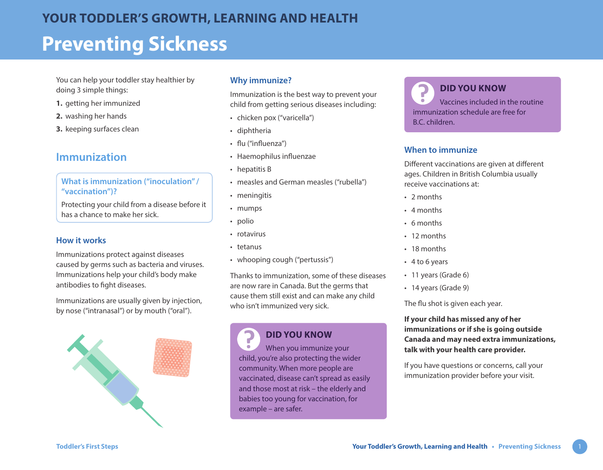You can help your toddler stay healthier by doing 3 simple things:

- **1.** getting her immunized
- **2.** washing her hands
- **3.** keeping surfaces clean

# **Immunization**

### **What is immunization ("inoculation" / "vaccination")?**

Protecting your child from a disease before it has a chance to make her sick.

#### **How it works**

Immunizations protect against diseases caused by germs such as bacteria and viruses. Immunizations help your child's body make antibodies to fight diseases.

Immunizations are usually given by injection, by nose ("intranasal") or by mouth ("oral").



#### **Why immunize?**

Immunization is the best way to prevent your child from getting serious diseases including:

- chicken pox ("varicella")
- diphtheria
- flu ("influenza")
- Haemophilus influenzae
- hepatitis B
- measles and German measles ("rubella")
- meningitis
- mumps
- polio
- rotavirus
- tetanus

7

• whooping cough ("pertussis")

Thanks to immunization, some of these diseases are now rare in Canada. But the germs that cause them still exist and can make any child who isn't immunized very sick.

## **DID YOU KNOW**

When you immunize your child, you're also protecting the wider community. When more people are vaccinated, disease can't spread as easily and those most at risk – the elderly and babies too young for vaccination, for example – are safer.

**DID YOU KNOW** Vaccines included in the routine immunization schedule are free for B.C. children.

#### **When to immunize**

Different vaccinations are given at different ages. Children in British Columbia usually receive vaccinations at:

- 2 months
- 4 months
- 6 months
- 12 months
- 18 months
- 4 to 6 years
- 11 years (Grade 6)
- 14 years (Grade 9)

The flu shot is given each year.

**If your child has missed any of her immunizations or if she is going outside Canada and may need extra immunizations, talk with your health care provider.**

If you have questions or concerns, call your immunization provider before your visit.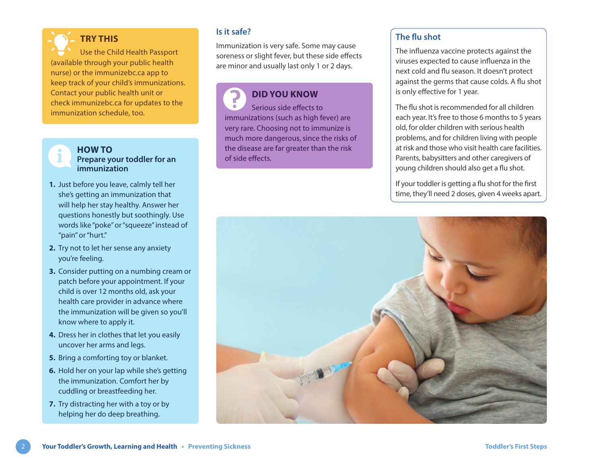**TRY THIS** Use the Child Health Passport (available through your public health nurse) or the immunizebc.ca app to keep track of your child's immunizations. Contact your public health unit or check [immunizebc.ca](https://immunizebc.ca) for updates to the immunization schedule, too.



#### **HOW TO Prepare your toddler for an immunization**

- **1.** Just before you leave, calmly tell her she's getting an immunization that will help her stay healthy. Answer her questions honestly but soothingly. Use words like "poke" or "squeeze" instead of "pain" or "hurt."
- **2.** Try not to let her sense any anxiety you're feeling.
- **3.** Consider putting on a numbing cream or patch before your appointment. If your child is over 12 months old, ask your health care provider in advance where the immunization will be given so you'll know where to apply it.
- **4.** Dress her in clothes that let you easily uncover her arms and legs.
- **5.** Bring a comforting toy or blanket.
- **6.** Hold her on your lap while she's getting the immunization. Comfort her by cuddling or breastfeeding her.
- **7.** Try distracting her with a toy or by helping her do deep breathing.

### **Is it safe?**

Immunization is very safe. Some may cause soreness or slight fever, but these side effects are minor and usually last only 1 or 2 days.

**DID YOU KNOW** Serious side effects to immunizations (such as high fever) are very rare. Choosing not to immunize is much more dangerous, since the risks of the disease are far greater than the risk of side effects.

#### **The flu shot**

The influenza vaccine protects against the viruses expected to cause influenza in the next cold and flu season. It doesn't protect against the germs that cause colds. A flu shot is only effective for 1 year.

The flu shot is recommended for all children each year. It's free to those 6 months to 5 years old, for older children with serious health problems, and for children living with people at risk and those who visit health care facilities. Parents, babysitters and other caregivers of young children should also get a flu shot.

If your toddler is getting a flu shot for the first time, they'll need 2 doses, given 4 weeks apart.